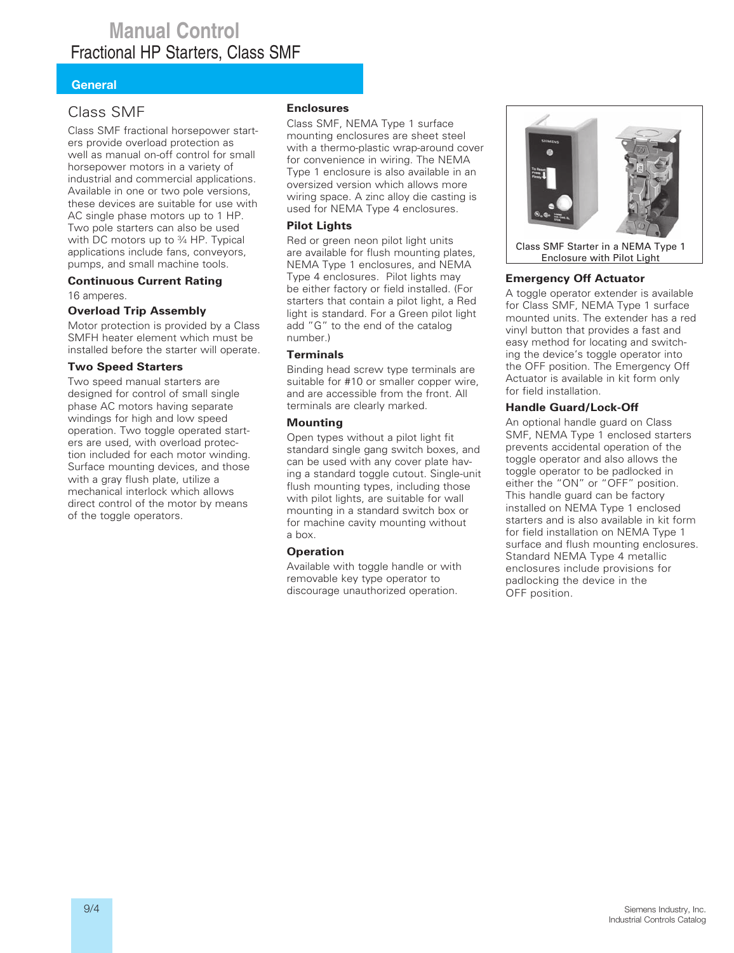## **Manual Control** Fractional HP Starters, Class SMF

## **General**

## Class SMF

Class SMF fractional horsepower starters provide overload protection as well as manual on-off control for small horsepower motors in a variety of industrial and commercial applications. Available in one or two pole versions, these devices are suitable for use with AC single phase motors up to 1 HP. Two pole starters can also be used with DC motors up to 3/4 HP. Typical applications include fans, conveyors, pumps, and small machine tools.

#### **Continuous Current Rating** 16 amperes.

## **Overload Trip Assembly**

Motor protection is provided by a Class SMFH heater element which must be installed before the starter will operate.

## **Two Speed Starters**

Two speed manual starters are designed for control of small single phase AC motors having separate windings for high and low speed operation. Two toggle operated starters are used, with overload protection included for each motor winding. Surface mounting devices, and those with a gray flush plate, utilize a mechanical interlock which allows direct control of the motor by means of the toggle operators.

### **Enclosures**

Class SMF, NEMA Type 1 surface mounting enclosures are sheet steel with a thermo-plastic wrap-around cover for convenience in wiring. The NEMA Type 1 enclosure is also available in an oversized version which allows more wiring space. A zinc alloy die casting is used for NEMA Type 4 enclosures.

## **Pilot Lights**

Red or green neon pilot light units are available for flush mounting plates, NEMA Type 1 enclosures, and NEMA Type 4 enclosures. Pilot lights may be either factory or field installed. (For starters that contain a pilot light, a Red light is standard. For a Green pilot light add "G" to the end of the catalog number.)

## **Terminals**

Binding head screw type terminals are suitable for #10 or smaller copper wire, and are accessible from the front. All terminals are clearly marked.

## **Mounting**

Open types without a pilot light fit standard single gang switch boxes, and can be used with any cover plate having a standard toggle cutout. Single-unit flush mounting types, including those with pilot lights, are suitable for wall mounting in a standard switch box or for machine cavity mounting without a box.

## **Operation**

Available with toggle handle or with removable key type operator to discourage unauthorized operation.



Class SMF Starter in a NEMA Type 1 Enclosure with Pilot Light

## **Emergency Off Actuator**

A toggle operator extender is available for Class SMF, NEMA Type 1 surface mounted units. The extender has a red vinyl button that provides a fast and easy method for locating and switching the device's toggle operator into the OFF position. The Emergency Off Actuator is available in kit form only for field installation.

## **Handle Guard/Lock-Off**

An optional handle guard on Class SMF, NEMA Type 1 enclosed starters prevents accidental operation of the toggle operator and also allows the toggle operator to be padlocked in either the "ON" or "OFF" position. This handle guard can be factory installed on NEMA Type 1 enclosed starters and is also available in kit form for field installation on NEMA Type 1 surface and flush mounting enclosures. Standard NEMA Type 4 metallic enclosures include provisions for padlocking the device in the OFF position.